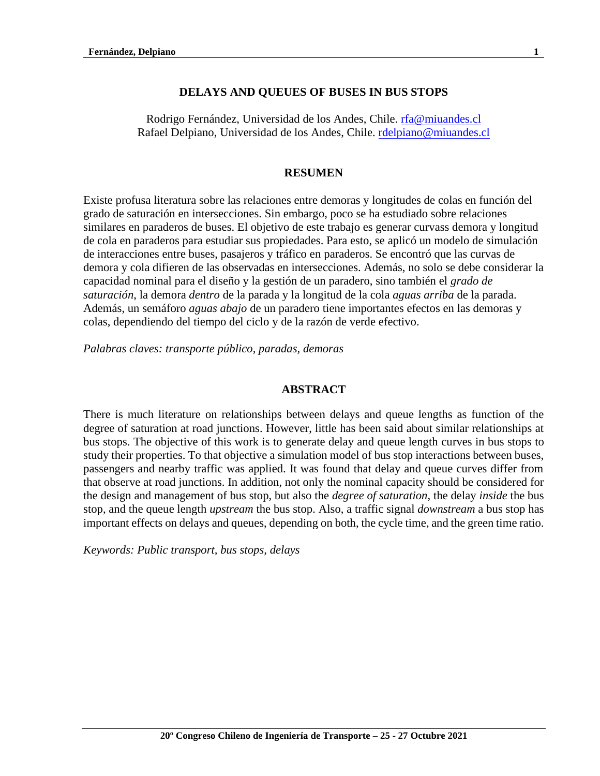## **DELAYS AND QUEUES OF BUSES IN BUS STOPS**

Rodrigo Fernández, Universidad de los Andes, Chile. [rfa@miuandes.cl](mailto:rfa@miuandes.cl) Rafael Delpiano, Universidad de los Andes, Chile. [rdelpiano@miuandes.cl](mailto:rdelpiano@miuandes.cl)

### **RESUMEN**

Existe profusa literatura sobre las relaciones entre demoras y longitudes de colas en función del grado de saturación en intersecciones. Sin embargo, poco se ha estudiado sobre relaciones similares en paraderos de buses. El objetivo de este trabajo es generar curvass demora y longitud de cola en paraderos para estudiar sus propiedades. Para esto, se aplicó un modelo de simulación de interacciones entre buses, pasajeros y tráfico en paraderos. Se encontró que las curvas de demora y cola difieren de las observadas en intersecciones. Además, no solo se debe considerar la capacidad nominal para el diseño y la gestión de un paradero, sino también el *grado de saturación*, la demora *dentro* de la parada y la longitud de la cola *aguas arriba* de la parada. Además, un semáforo *aguas abajo* de un paradero tiene importantes efectos en las demoras y colas, dependiendo del tiempo del ciclo y de la razón de verde efectivo.

*Palabras claves: transporte público, paradas, demoras* 

### **ABSTRACT**

There is much literature on relationships between delays and queue lengths as function of the degree of saturation at road junctions. However, little has been said about similar relationships at bus stops. The objective of this work is to generate delay and queue length curves in bus stops to study their properties. To that objective a simulation model of bus stop interactions between buses, passengers and nearby traffic was applied. It was found that delay and queue curves differ from that observe at road junctions. In addition, not only the nominal capacity should be considered for the design and management of bus stop, but also the *degree of saturation*, the delay *inside* the bus stop, and the queue length *upstream* the bus stop. Also, a traffic signal *downstream* a bus stop has important effects on delays and queues, depending on both, the cycle time, and the green time ratio.

*Keywords: Public transport, bus stops, delays*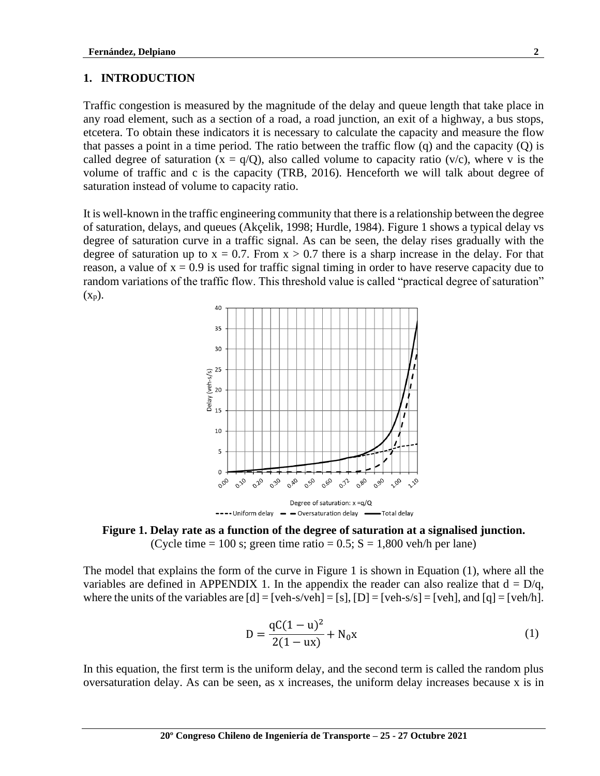#### **1. INTRODUCTION**

Traffic congestion is measured by the magnitude of the delay and queue length that take place in any road element, such as a section of a road, a road junction, an exit of a highway, a bus stops, etcetera. To obtain these indicators it is necessary to calculate the capacity and measure the flow that passes a point in a time period. The ratio between the traffic flow (q) and the capacity (Q) is called degree of saturation  $(x = q/Q)$ , also called volume to capacity ratio  $(v/c)$ , where v is the volume of traffic and c is the capacity (TRB, 2016). Henceforth we will talk about degree of saturation instead of volume to capacity ratio.

It is well-known in the traffic engineering community that there is a relationship between the degree of saturation, delays, and queues (Akçelik, 1998; Hurdle, 1984). Figure 1 shows a typical delay vs degree of saturation curve in a traffic signal. As can be seen, the delay rises gradually with the degree of saturation up to  $x = 0.7$ . From  $x > 0.7$  there is a sharp increase in the delay. For that reason, a value of  $x = 0.9$  is used for traffic signal timing in order to have reserve capacity due to random variations of the traffic flow. This threshold value is called "practical degree of saturation"  $(X_p)$ .



**Figure 1. Delay rate as a function of the degree of saturation at a signalised junction.** (Cycle time = 100 s; green time ratio =  $0.5$ ; S = 1,800 veh/h per lane)

The model that explains the form of the curve in Figure 1 is shown in Equation (1), where all the variables are defined in APPENDIX 1. In the appendix the reader can also realize that  $d = D/q$ , where the units of the variables are  $[d] = [veh-s/veh] = [s]$ ,  $[D] = [veh-s/s] = [veh]$ , and  $[q] = [veh/h]$ .

$$
D = \frac{qC(1 - u)^2}{2(1 - ux)} + N_0x
$$
 (1)

In this equation, the first term is the uniform delay, and the second term is called the random plus oversaturation delay. As can be seen, as x increases, the uniform delay increases because x is in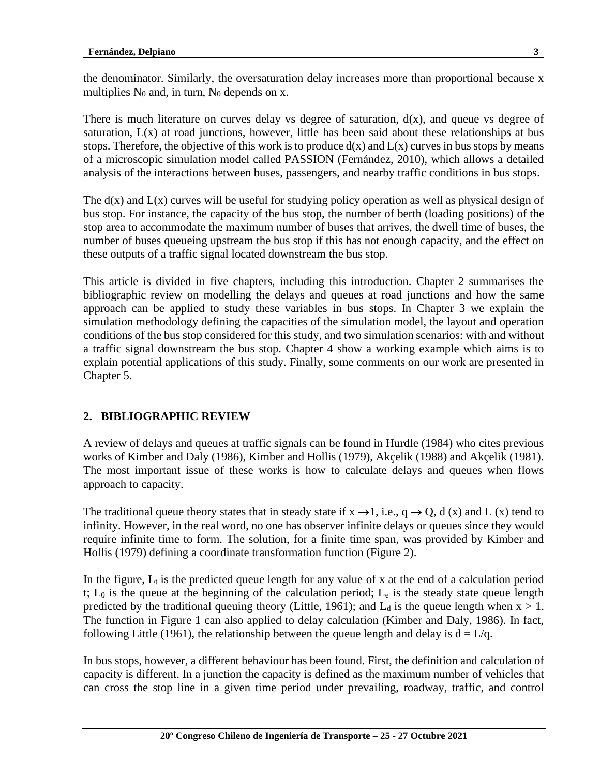the denominator. Similarly, the oversaturation delay increases more than proportional because x multiplies  $N_0$  and, in turn,  $N_0$  depends on x.

There is much literature on curves delay vs degree of saturation,  $d(x)$ , and queue vs degree of saturation, L(x) at road junctions, however, little has been said about these relationships at bus stops. Therefore, the objective of this work is to produce  $d(x)$  and  $L(x)$  curves in bus stops by means of a microscopic simulation model called PASSION (Fernández, 2010), which allows a detailed analysis of the interactions between buses, passengers, and nearby traffic conditions in bus stops.

The  $d(x)$  and  $L(x)$  curves will be useful for studying policy operation as well as physical design of bus stop. For instance, the capacity of the bus stop, the number of berth (loading positions) of the stop area to accommodate the maximum number of buses that arrives, the dwell time of buses, the number of buses queueing upstream the bus stop if this has not enough capacity, and the effect on these outputs of a traffic signal located downstream the bus stop.

This article is divided in five chapters, including this introduction. Chapter 2 summarises the bibliographic review on modelling the delays and queues at road junctions and how the same approach can be applied to study these variables in bus stops. In Chapter 3 we explain the simulation methodology defining the capacities of the simulation model, the layout and operation conditions of the bus stop considered for this study, and two simulation scenarios: with and without a traffic signal downstream the bus stop. Chapter 4 show a working example which aims is to explain potential applications of this study. Finally, some comments on our work are presented in Chapter 5.

## **2. BIBLIOGRAPHIC REVIEW**

A review of delays and queues at traffic signals can be found in Hurdle (1984) who cites previous works of Kimber and Daly (1986), Kimber and Hollis (1979), Akçelik (1988) and Akçelik (1981). The most important issue of these works is how to calculate delays and queues when flows approach to capacity.

The traditional queue theory states that in steady state if  $x \rightarrow 1$ , i.e.,  $q \rightarrow Q$ , d (x) and L (x) tend to infinity. However, in the real word, no one has observer infinite delays or queues since they would require infinite time to form. The solution, for a finite time span, was provided by Kimber and Hollis (1979) defining a coordinate transformation function (Figure 2).

In the figure,  $L_t$  is the predicted queue length for any value of x at the end of a calculation period t;  $L_0$  is the queue at the beginning of the calculation period;  $L_e$  is the steady state queue length predicted by the traditional queuing theory (Little, 1961); and  $L_d$  is the queue length when  $x > 1$ . The function in Figure 1 can also applied to delay calculation (Kimber and Daly, 1986). In fact, following Little (1961), the relationship between the queue length and delay is  $d = L/q$ .

In bus stops, however, a different behaviour has been found. First, the definition and calculation of capacity is different. In a junction the capacity is defined as the maximum number of vehicles that can cross the stop line in a given time period under prevailing, roadway, traffic, and control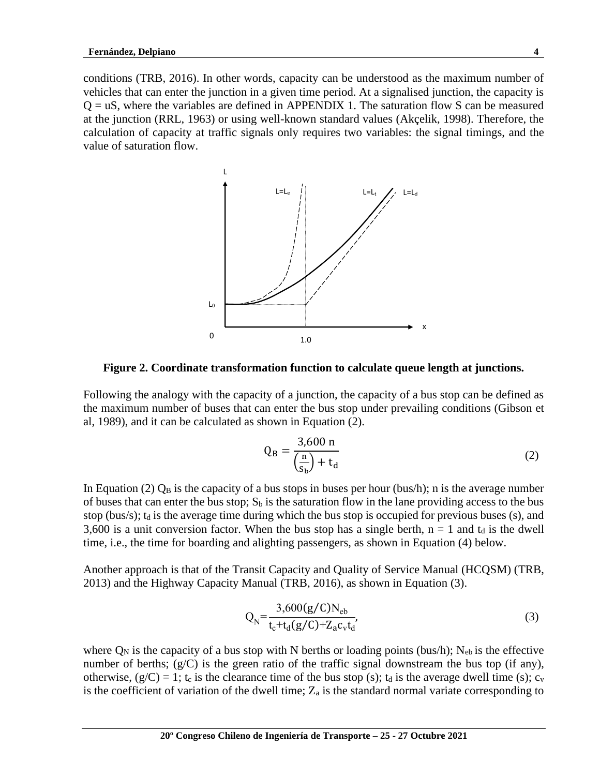conditions (TRB, 2016). In other words, capacity can be understood as the maximum number of vehicles that can enter the junction in a given time period. At a signalised junction, the capacity is  $Q = uS$ , where the variables are defined in APPENDIX 1. The saturation flow S can be measured at the junction (RRL, 1963) or using well-known standard values (Akçelik, 1998). Therefore, the calculation of capacity at traffic signals only requires two variables: the signal timings, and the value of saturation flow.



**Figure 2. Coordinate transformation function to calculate queue length at junctions.**

Following the analogy with the capacity of a junction, the capacity of a bus stop can be defined as the maximum number of buses that can enter the bus stop under prevailing conditions (Gibson et al, 1989), and it can be calculated as shown in Equation (2).

$$
Q_B = \frac{3,600 \text{ n}}{\left(\frac{\text{n}}{s_b}\right) + t_d} \tag{2}
$$

In Equation (2)  $Q_B$  is the capacity of a bus stops in buses per hour (bus/h); n is the average number of buses that can enter the bus stop;  $S_b$  is the saturation flow in the lane providing access to the bus stop (bus/s);  $t_d$  is the average time during which the bus stop is occupied for previous buses (s), and 3,600 is a unit conversion factor. When the bus stop has a single berth,  $n = 1$  and  $t_d$  is the dwell time, i.e., the time for boarding and alighting passengers, as shown in Equation (4) below.

Another approach is that of the Transit Capacity and Quality of Service Manual (HCQSM) (TRB, 2013) and the Highway Capacity Manual (TRB, 2016), as shown in Equation (3).

$$
Q_{N} = \frac{3,600(g/C)N_{eb}}{t_c + t_d(g/C) + Z_a c_v t_d},
$$
\n(3)

where  $Q_N$  is the capacity of a bus stop with N berths or loading points (bus/h); N<sub>eb</sub> is the effective number of berths;  $(g/C)$  is the green ratio of the traffic signal downstream the bus top (if any), otherwise,  $(g/C) = 1$ ;  $t_c$  is the clearance time of the bus stop (s);  $t_d$  is the average dwell time (s);  $c_v$ is the coefficient of variation of the dwell time;  $Z_a$  is the standard normal variate corresponding to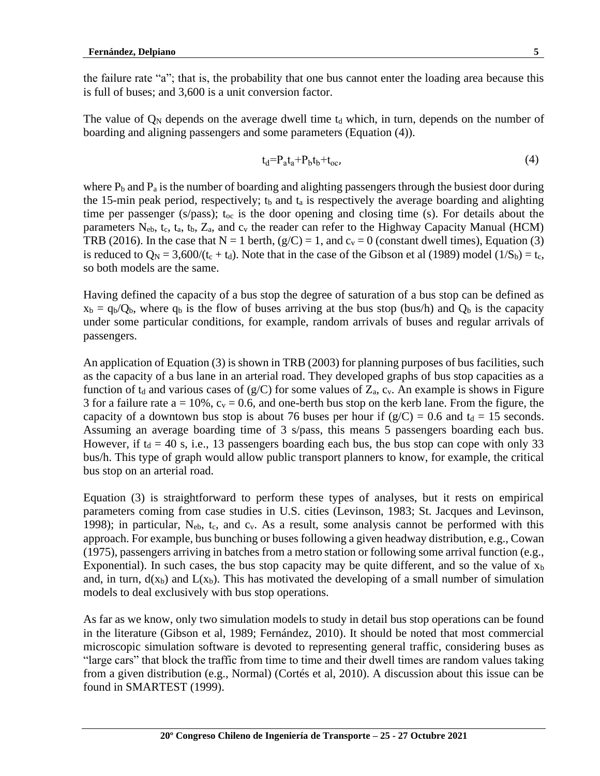the failure rate "a"; that is, the probability that one bus cannot enter the loading area because this is full of buses; and 3,600 is a unit conversion factor.

The value of  $\mathbb{O}_N$  depends on the average dwell time  $t_d$  which, in turn, depends on the number of boarding and aligning passengers and some parameters (Equation (4)).

$$
t_d = P_a t_a + P_b t_b + t_{oc},\tag{4}
$$

where  $P_b$  and  $P_a$  is the number of boarding and alighting passengers through the busiest door during the 15-min peak period, respectively;  $t_b$  and  $t_a$  is respectively the average boarding and alighting time per passenger (s/pass);  $t_{oc}$  is the door opening and closing time (s). For details about the parameters  $N_{eb}$ ,  $t_c$ ,  $t_a$ ,  $t_b$ ,  $Z_a$ , and  $c_v$  the reader can refer to the Highway Capacity Manual (HCM) TRB (2016). In the case that  $N = 1$  berth, (g/C) = 1, and  $c_v = 0$  (constant dwell times), Equation (3) is reduced to  $Q_N = 3{,}600/(t_c + t_d)$ . Note that in the case of the Gibson et al (1989) model (1/S<sub>b</sub>) = t<sub>c</sub>, so both models are the same.

Having defined the capacity of a bus stop the degree of saturation of a bus stop can be defined as  $x_b = q_b/Q_b$ , where  $q_b$  is the flow of buses arriving at the bus stop (bus/h) and  $Q_b$  is the capacity under some particular conditions, for example, random arrivals of buses and regular arrivals of passengers.

An application of Equation (3) is shown in TRB (2003) for planning purposes of bus facilities, such as the capacity of a bus lane in an arterial road. They developed graphs of bus stop capacities as a function of  $t_d$  and various cases of (g/C) for some values of  $Z_a$ ,  $c_v$ . An example is shows in Figure 3 for a failure rate  $a = 10\%$ ,  $c_v = 0.6$ , and one-berth bus stop on the kerb lane. From the figure, the capacity of a downtown bus stop is about 76 buses per hour if  $(g/C) = 0.6$  and  $t<sub>d</sub> = 15$  seconds. Assuming an average boarding time of 3 s/pass, this means 5 passengers boarding each bus. However, if  $t_d = 40$  s, i.e., 13 passengers boarding each bus, the bus stop can cope with only 33 bus/h. This type of graph would allow public transport planners to know, for example, the critical bus stop on an arterial road.

Equation (3) is straightforward to perform these types of analyses, but it rests on empirical parameters coming from case studies in U.S. cities (Levinson, 1983; St. Jacques and Levinson, 1998); in particular,  $N_{eb}$ , t<sub>c</sub>, and  $c_v$ . As a result, some analysis cannot be performed with this approach. For example, bus bunching or buses following a given headway distribution, e.g., Cowan (1975), passengers arriving in batches from a metro station or following some arrival function (e.g., Exponential). In such cases, the bus stop capacity may be quite different, and so the value of  $x<sub>b</sub>$ and, in turn,  $d(x_b)$  and  $L(x_b)$ . This has motivated the developing of a small number of simulation models to deal exclusively with bus stop operations.

As far as we know, only two simulation models to study in detail bus stop operations can be found in the literature (Gibson et al, 1989; Fernández, 2010). It should be noted that most commercial microscopic simulation software is devoted to representing general traffic, considering buses as "large cars" that block the traffic from time to time and their dwell times are random values taking from a given distribution (e.g., Normal) (Cortés et al, 2010). A discussion about this issue can be found in SMARTEST (1999).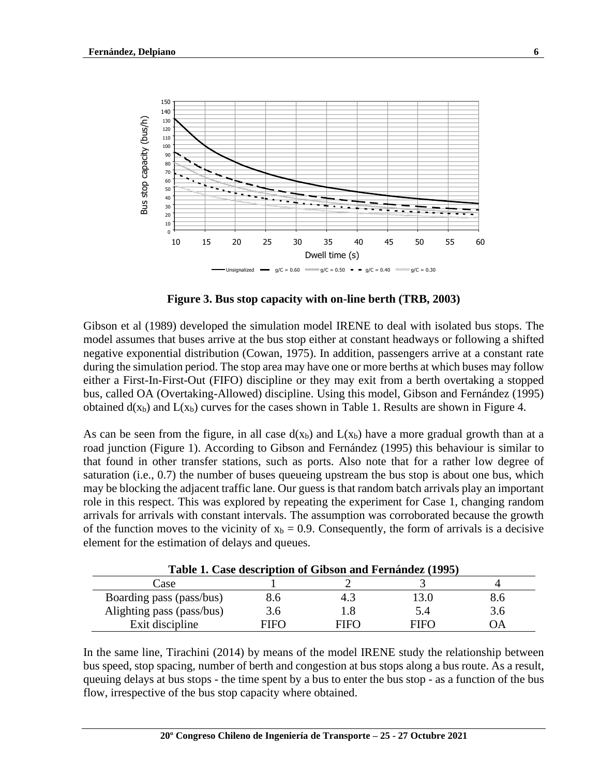

**Figure 3. Bus stop capacity with on-line berth (TRB, 2003)**

Gibson et al (1989) developed the simulation model IRENE to deal with isolated bus stops. The model assumes that buses arrive at the bus stop either at constant headways or following a shifted negative exponential distribution (Cowan, 1975). In addition, passengers arrive at a constant rate during the simulation period. The stop area may have one or more berths at which buses may follow either a First-In-First-Out (FIFO) discipline or they may exit from a berth overtaking a stopped bus, called OA (Overtaking-Allowed) discipline. Using this model, Gibson and Fernández (1995) obtained  $d(x_b)$  and  $L(x_b)$  curves for the cases shown in Table 1. Results are shown in Figure 4.

As can be seen from the figure, in all case  $d(x_b)$  and  $L(x_b)$  have a more gradual growth than at a road junction (Figure 1). According to Gibson and Fernández (1995) this behaviour is similar to that found in other transfer stations, such as ports. Also note that for a rather low degree of saturation (i.e., 0.7) the number of buses queueing upstream the bus stop is about one bus, which may be blocking the adjacent traffic lane. Our guess is that random batch arrivals play an important role in this respect. This was explored by repeating the experiment for Case 1, changing random arrivals for arrivals with constant intervals. The assumption was corroborated because the growth of the function moves to the vicinity of  $x_b = 0.9$ . Consequently, the form of arrivals is a decisive element for the estimation of delays and queues.

| Table 1. Case description of Gibson and Fernández (1995) |      |      |      |     |  |
|----------------------------------------------------------|------|------|------|-----|--|
| Case                                                     |      |      |      |     |  |
| Boarding pass (pass/bus)                                 | 8.6  | 4.3  | 3.0  | 8.0 |  |
| Alighting pass (pass/bus)                                | 3.6  |      | 5.4  | 3.6 |  |
| Exit discipline                                          | FIFO | FIFO | FIFO | ЭA  |  |

**Table 1. Case description of Gibson and Fernández (1995)**

In the same line, Tirachini (2014) by means of the model IRENE study the relationship between bus speed, stop spacing, number of berth and congestion at bus stops along a bus route. As a result, queuing delays at bus stops - the time spent by a bus to enter the bus stop - as a function of the bus flow, irrespective of the bus stop capacity where obtained.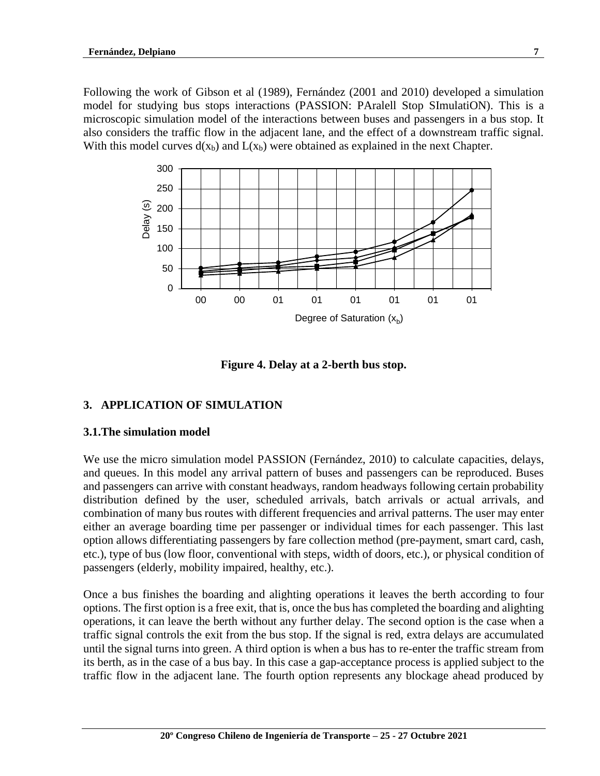Following the work of Gibson et al (1989), Fernández (2001 and 2010) developed a simulation model for studying bus stops interactions (PASSION: PAralell Stop SImulatiON). This is a microscopic simulation model of the interactions between buses and passengers in a bus stop. It also considers the traffic flow in the adjacent lane, and the effect of a downstream traffic signal. With this model curves  $d(x_b)$  and  $L(x_b)$  were obtained as explained in the next Chapter.



**Figure 4. Delay at a 2-berth bus stop.**

## **3. APPLICATION OF SIMULATION**

#### **3.1.The simulation model**

We use the micro simulation model PASSION (Fernández, 2010) to calculate capacities, delays, and queues. In this model any arrival pattern of buses and passengers can be reproduced. Buses and passengers can arrive with constant headways, random headways following certain probability distribution defined by the user, scheduled arrivals, batch arrivals or actual arrivals, and combination of many bus routes with different frequencies and arrival patterns. The user may enter either an average boarding time per passenger or individual times for each passenger. This last option allows differentiating passengers by fare collection method (pre-payment, smart card, cash, etc.), type of bus (low floor, conventional with steps, width of doors, etc.), or physical condition of passengers (elderly, mobility impaired, healthy, etc.).

Once a bus finishes the boarding and alighting operations it leaves the berth according to four options. The first option is a free exit, that is, once the bus has completed the boarding and alighting operations, it can leave the berth without any further delay. The second option is the case when a traffic signal controls the exit from the bus stop. If the signal is red, extra delays are accumulated until the signal turns into green. A third option is when a bus has to re-enter the traffic stream from its berth, as in the case of a bus bay. In this case a gap-acceptance process is applied subject to the traffic flow in the adjacent lane. The fourth option represents any blockage ahead produced by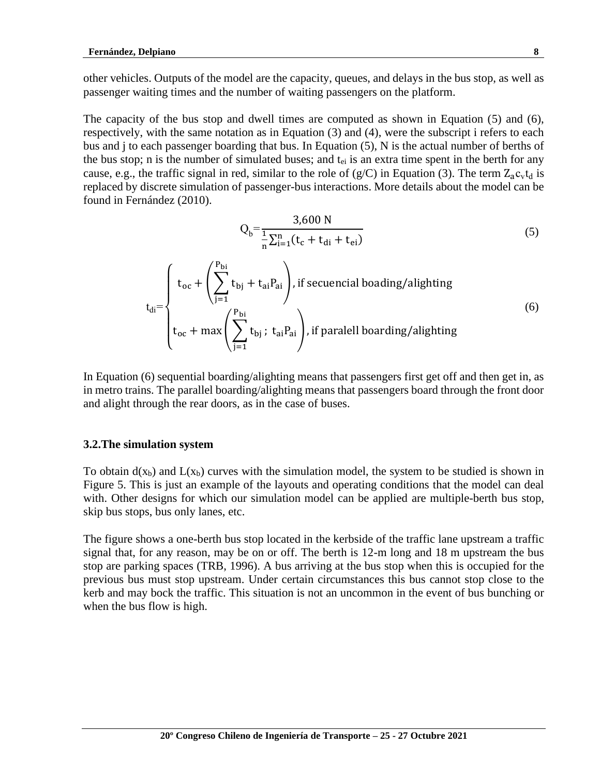other vehicles. Outputs of the model are the capacity, queues, and delays in the bus stop, as well as passenger waiting times and the number of waiting passengers on the platform.

The capacity of the bus stop and dwell times are computed as shown in Equation (5) and (6), respectively, with the same notation as in Equation (3) and (4), were the subscript i refers to each bus and j to each passenger boarding that bus. In Equation (5), N is the actual number of berths of the bus stop; n is the number of simulated buses; and  $t_{ei}$  is an extra time spent in the berth for any cause, e.g., the traffic signal in red, similar to the role of  $(g/C)$  in Equation (3). The term  $Z_a c_v t_d$  is replaced by discrete simulation of passenger-bus interactions. More details about the model can be found in Fernández (2010).

$$
Q_b = \frac{3,600 \text{ N}}{\frac{1}{n} \sum_{i=1}^{n} (t_c + t_{di} + t_{ei})}
$$
(5)

$$
t_{di} = \begin{cases} t_{oc} + \left(\sum_{j=1}^{P_{bi}} t_{bj} + t_{ai} P_{ai}\right), \text{if secuencial loading/alightlying} \\ t_{oc} + \max\left(\sum_{j=1}^{P_{bi}} t_{bj}; t_{ai} P_{ai}\right), \text{if parallel boarding/alightlying} \end{cases} \tag{6}
$$

In Equation (6) sequential boarding/alighting means that passengers first get off and then get in, as in metro trains. The parallel boarding/alighting means that passengers board through the front door and alight through the rear doors, as in the case of buses.

#### **3.2.The simulation system**

To obtain  $d(x_b)$  and  $L(x_b)$  curves with the simulation model, the system to be studied is shown in Figure 5. This is just an example of the layouts and operating conditions that the model can deal with. Other designs for which our simulation model can be applied are multiple-berth bus stop, skip bus stops, bus only lanes, etc.

The figure shows a one-berth bus stop located in the kerbside of the traffic lane upstream a traffic signal that, for any reason, may be on or off. The berth is 12-m long and 18 m upstream the bus stop are parking spaces (TRB, 1996). A bus arriving at the bus stop when this is occupied for the previous bus must stop upstream. Under certain circumstances this bus cannot stop close to the kerb and may bock the traffic. This situation is not an uncommon in the event of bus bunching or when the bus flow is high.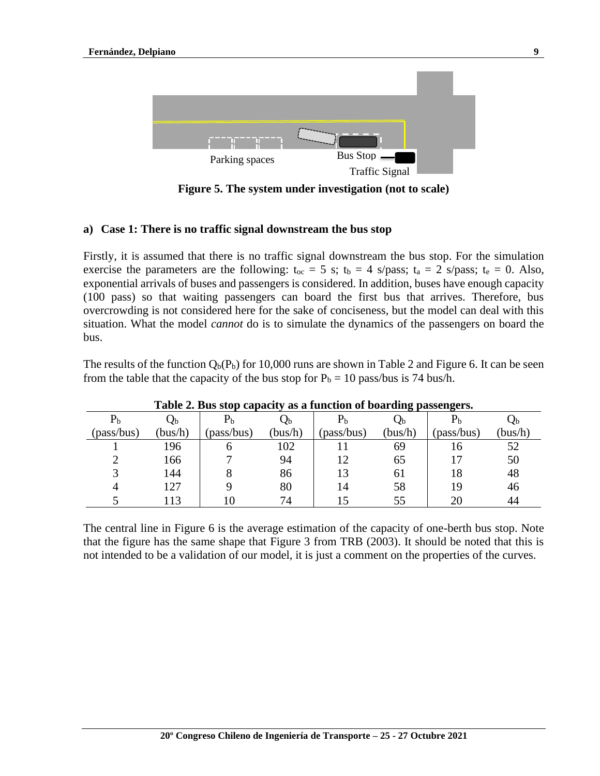

**Figure 5. The system under investigation (not to scale)**

## **a) Case 1: There is no traffic signal downstream the bus stop**

Firstly, it is assumed that there is no traffic signal downstream the bus stop. For the simulation exercise the parameters are the following:  $t_{oc} = 5$  s;  $t_b = 4$  s/pass;  $t_a = 2$  s/pass;  $t_e = 0$ . Also, exponential arrivals of buses and passengers is considered. In addition, buses have enough capacity (100 pass) so that waiting passengers can board the first bus that arrives. Therefore, bus overcrowding is not considered here for the sake of conciseness, but the model can deal with this situation. What the model *cannot* do is to simulate the dynamics of the passengers on board the bus.

The results of the function  $Q_b(P_b)$  for 10,000 runs are shown in Table 2 and Figure 6. It can be seen from the table that the capacity of the bus stop for  $P_b = 10$  pass/bus is 74 bus/h.

| Table 2. Dub blop capacity as a function of boarding passengers. |                 |             |         |                |             |            |         |
|------------------------------------------------------------------|-----------------|-------------|---------|----------------|-------------|------------|---------|
| P <sub>b</sub>                                                   | Qb              | $\rm P_{b}$ | $Q_{b}$ | P <sub>b</sub> | $Q_{\rm b}$ |            | Ųb      |
| (pass/bus)                                                       | (bus/h)         | (pass/bus)  | (bus/h) | (pass/bus)     | (bus/h)     | (pass/bus) | (bus/h) |
|                                                                  | 196             |             | 102     |                | 69          | 16         | 52      |
|                                                                  | 166             |             | 94      | 12             | 65          |            | 50      |
|                                                                  | 144             |             | 86      | 13             | 61          | 18         | 48      |
| 4                                                                | 127             |             | 80      | 14             | 58          | 19         | 46      |
|                                                                  | $\overline{13}$ |             | 74      |                | 55          | 20         | 44      |

### **Table 2. Bus stop capacity as a function of boarding passengers.**

The central line in Figure 6 is the average estimation of the capacity of one-berth bus stop. Note that the figure has the same shape that Figure 3 from TRB (2003). It should be noted that this is not intended to be a validation of our model, it is just a comment on the properties of the curves.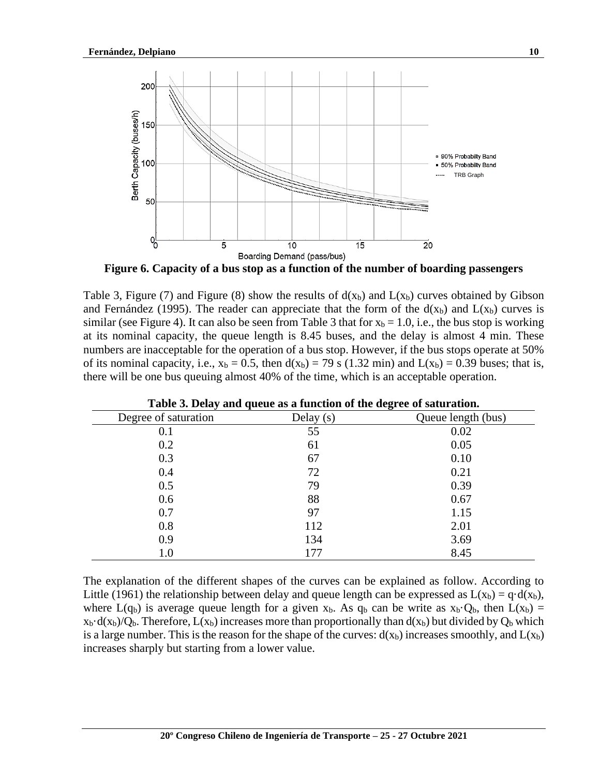

**Figure 6. Capacity of a bus stop as a function of the number of boarding passengers**

Table 3, Figure (7) and Figure (8) show the results of  $d(x_b)$  and  $L(x_b)$  curves obtained by Gibson and Fernández (1995). The reader can appreciate that the form of the  $d(x_b)$  and  $L(x_b)$  curves is similar (see Figure 4). It can also be seen from Table 3 that for  $x_b = 1.0$ , i.e., the bus stop is working at its nominal capacity, the queue length is 8.45 buses, and the delay is almost 4 min. These numbers are inacceptable for the operation of a bus stop. However, if the bus stops operate at 50% of its nominal capacity, i.e.,  $x_b = 0.5$ , then  $d(x_b) = 79$  s (1.32 min) and  $L(x_b) = 0.39$  buses; that is, there will be one bus queuing almost 40% of the time, which is an acceptable operation.

| Degree of saturation | Delay $(s)$ | Queue length (bus) |
|----------------------|-------------|--------------------|
| 0.1                  | 55          | 0.02               |
| 0.2                  | 61          | 0.05               |
| 0.3                  | 67          | 0.10               |
| 0.4                  | 72          | 0.21               |
| 0.5                  | 79          | 0.39               |
| 0.6                  | 88          | 0.67               |
| 0.7                  | 97          | 1.15               |
| 0.8                  | 112         | 2.01               |
| 0.9                  | 134         | 3.69               |
| 1.0                  | 177         | 8.45               |

| Table 3. Delay and queue as a function of the degree of saturation. |  |  |
|---------------------------------------------------------------------|--|--|
|                                                                     |  |  |

The explanation of the different shapes of the curves can be explained as follow. According to Little (1961) the relationship between delay and queue length can be expressed as  $L(x_b) = q \cdot d(x_b)$ , where L(q<sub>b</sub>) is average queue length for a given x<sub>b</sub>. As q<sub>b</sub> can be write as  $x_b$ · $Q_b$ , then L( $x_b$ ) =  $x_b \cdot d(x_b)/Q_b$ . Therefore,  $L(x_b)$  increases more than proportionally than  $d(x_b)$  but divided by  $Q_b$  which is a large number. This is the reason for the shape of the curves:  $d(x_b)$  increases smoothly, and  $L(x_b)$ increases sharply but starting from a lower value.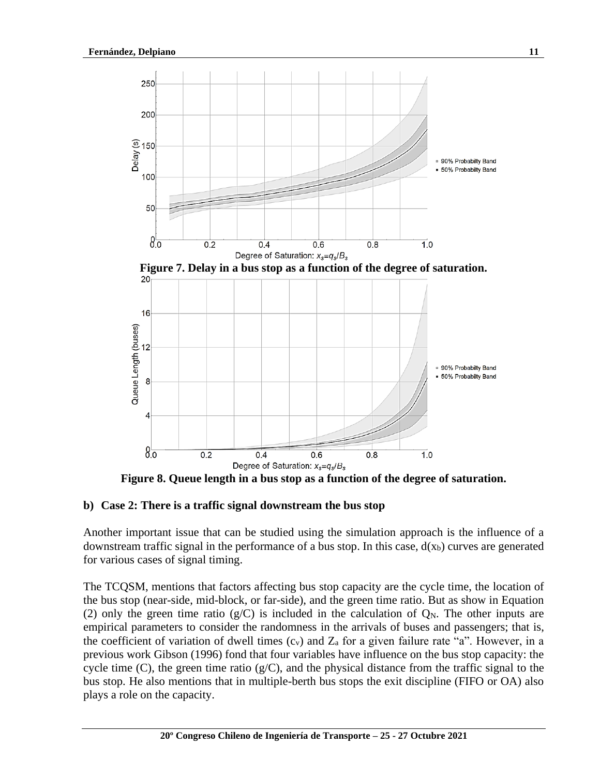

**Figure 8. Queue length in a bus stop as a function of the degree of saturation.**

### **b) Case 2: There is a traffic signal downstream the bus stop**

Another important issue that can be studied using the simulation approach is the influence of a downstream traffic signal in the performance of a bus stop. In this case,  $d(x_b)$  curves are generated for various cases of signal timing.

The TCQSM, mentions that factors affecting bus stop capacity are the cycle time, the location of the bus stop (near-side, mid-block, or far-side), and the green time ratio. But as show in Equation (2) only the green time ratio ( $g/C$ ) is included in the calculation of  $Q_N$ . The other inputs are empirical parameters to consider the randomness in the arrivals of buses and passengers; that is, the coefficient of variation of dwell times  $(c_v)$  and  $Z_a$  for a given failure rate "a". However, in a previous work Gibson (1996) fond that four variables have influence on the bus stop capacity: the cycle time (C), the green time ratio  $(g/C)$ , and the physical distance from the traffic signal to the bus stop. He also mentions that in multiple-berth bus stops the exit discipline (FIFO or OA) also plays a role on the capacity.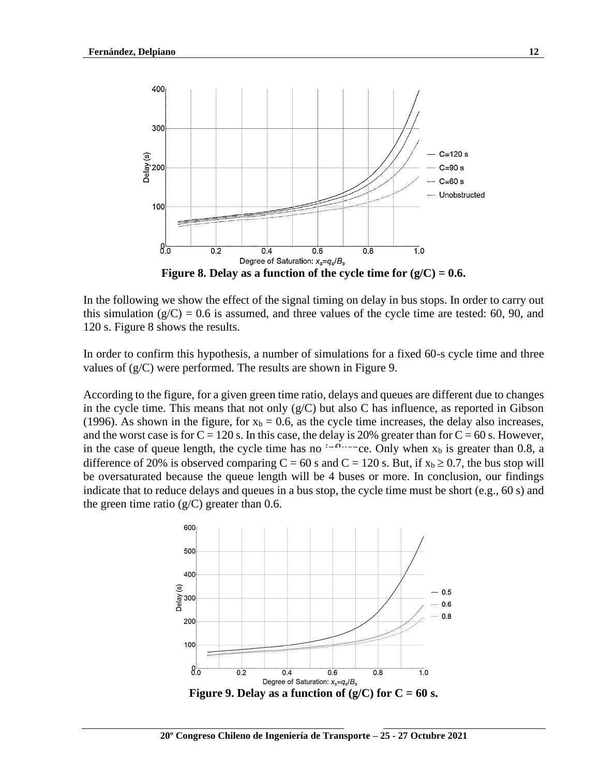

In the following we show the effect of the signal timing on delay in bus stops. In order to carry out this simulation  $(g/C) = 0.6$  is assumed, and three values of the cycle time are tested: 60, 90, and 120 s. Figure 8 shows the results.

In order to confirm this hypothesis, a number of simulations for a fixed 60-s cycle time and three values of (g/C) were performed. The results are shown in Figure 9.

According to the figure, for a given green time ratio, delays and queues are different due to changes in the cycle time. This means that not only  $(g/C)$  but also C has influence, as reported in Gibson (1996). As shown in the figure, for  $x_b = 0.6$ , as the cycle time increases, the delay also increases, and the worst case is for  $C = 120$  s. In this case, the delay is 20% greater than for  $C = 60$  s. However, in the case of queue length, the cycle time has no influence. Only when  $x_b$  is greater than 0.8, a difference of 20% is observed comparing  $C = 60$  s and  $C = 120$  s. But, if  $x_b \ge 0.7$ , the bus stop will be oversaturated because the queue length will be 4 buses or more. In conclusion, our findings indicate that to reduce delays and queues in a bus stop, the cycle time must be short (e.g., 60 s) and the green time ratio  $(g/C)$  greater than 0.6.

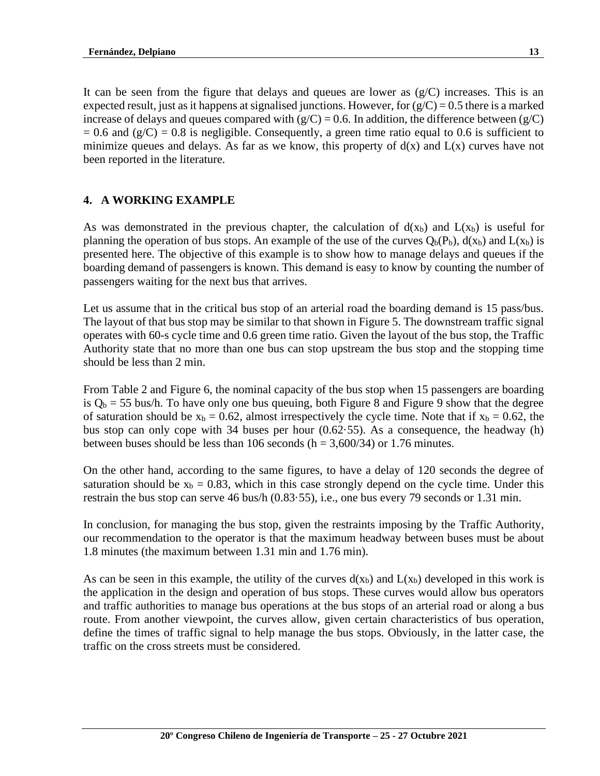It can be seen from the figure that delays and queues are lower as  $(g/C)$  increases. This is an expected result, just as it happens at signalised junctions. However, for  $(g/C) = 0.5$  there is a marked increase of delays and queues compared with  $(g/C) = 0.6$ . In addition, the difference between  $(g/C)$  $= 0.6$  and (g/C) = 0.8 is negligible. Consequently, a green time ratio equal to 0.6 is sufficient to minimize queues and delays. As far as we know, this property of  $d(x)$  and  $L(x)$  curves have not been reported in the literature.

## **4. A WORKING EXAMPLE**

As was demonstrated in the previous chapter, the calculation of  $d(x_b)$  and  $L(x_b)$  is useful for planning the operation of bus stops. An example of the use of the curves  $Q_b(P_b)$ ,  $d(x_b)$  and  $L(x_b)$  is presented here. The objective of this example is to show how to manage delays and queues if the boarding demand of passengers is known. This demand is easy to know by counting the number of passengers waiting for the next bus that arrives.

Let us assume that in the critical bus stop of an arterial road the boarding demand is 15 pass/bus. The layout of that bus stop may be similar to that shown in Figure 5. The downstream traffic signal operates with 60-s cycle time and 0.6 green time ratio. Given the layout of the bus stop, the Traffic Authority state that no more than one bus can stop upstream the bus stop and the stopping time should be less than 2 min.

From Table 2 and Figure 6, the nominal capacity of the bus stop when 15 passengers are boarding is  $Q_b = 55$  bus/h. To have only one bus queuing, both Figure 8 and Figure 9 show that the degree of saturation should be  $x_b = 0.62$ , almost irrespectively the cycle time. Note that if  $x_b = 0.62$ , the bus stop can only cope with 34 buses per hour  $(0.62.55)$ . As a consequence, the headway (h) between buses should be less than 106 seconds ( $h = 3,600/34$ ) or 1.76 minutes.

On the other hand, according to the same figures, to have a delay of 120 seconds the degree of saturation should be  $x_b = 0.83$ , which in this case strongly depend on the cycle time. Under this restrain the bus stop can serve 46 bus/h (0.83·55), i.e., one bus every 79 seconds or 1.31 min.

In conclusion, for managing the bus stop, given the restraints imposing by the Traffic Authority, our recommendation to the operator is that the maximum headway between buses must be about 1.8 minutes (the maximum between 1.31 min and 1.76 min).

As can be seen in this example, the utility of the curves  $d(x_b)$  and  $L(x_b)$  developed in this work is the application in the design and operation of bus stops. These curves would allow bus operators and traffic authorities to manage bus operations at the bus stops of an arterial road or along a bus route. From another viewpoint, the curves allow, given certain characteristics of bus operation, define the times of traffic signal to help manage the bus stops. Obviously, in the latter case, the traffic on the cross streets must be considered.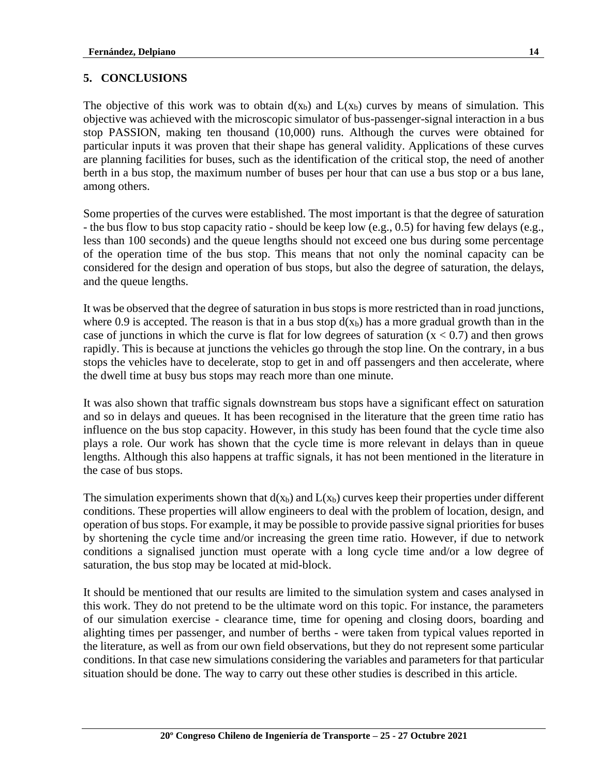# **5. CONCLUSIONS**

The objective of this work was to obtain  $d(x_b)$  and  $L(x_b)$  curves by means of simulation. This objective was achieved with the microscopic simulator of bus-passenger-signal interaction in a bus stop PASSION, making ten thousand (10,000) runs. Although the curves were obtained for particular inputs it was proven that their shape has general validity. Applications of these curves are planning facilities for buses, such as the identification of the critical stop, the need of another berth in a bus stop, the maximum number of buses per hour that can use a bus stop or a bus lane, among others.

Some properties of the curves were established. The most important is that the degree of saturation - the bus flow to bus stop capacity ratio - should be keep low (e.g., 0.5) for having few delays (e.g., less than 100 seconds) and the queue lengths should not exceed one bus during some percentage of the operation time of the bus stop. This means that not only the nominal capacity can be considered for the design and operation of bus stops, but also the degree of saturation, the delays, and the queue lengths.

It was be observed that the degree of saturation in bus stops is more restricted than in road junctions, where 0.9 is accepted. The reason is that in a bus stop  $d(x_b)$  has a more gradual growth than in the case of junctions in which the curve is flat for low degrees of saturation  $(x < 0.7)$  and then grows rapidly. This is because at junctions the vehicles go through the stop line. On the contrary, in a bus stops the vehicles have to decelerate, stop to get in and off passengers and then accelerate, where the dwell time at busy bus stops may reach more than one minute.

It was also shown that traffic signals downstream bus stops have a significant effect on saturation and so in delays and queues. It has been recognised in the literature that the green time ratio has influence on the bus stop capacity. However, in this study has been found that the cycle time also plays a role. Our work has shown that the cycle time is more relevant in delays than in queue lengths. Although this also happens at traffic signals, it has not been mentioned in the literature in the case of bus stops.

The simulation experiments shown that  $d(x_b)$  and  $L(x_b)$  curves keep their properties under different conditions. These properties will allow engineers to deal with the problem of location, design, and operation of bus stops. For example, it may be possible to provide passive signal priorities for buses by shortening the cycle time and/or increasing the green time ratio. However, if due to network conditions a signalised junction must operate with a long cycle time and/or a low degree of saturation, the bus stop may be located at mid-block.

It should be mentioned that our results are limited to the simulation system and cases analysed in this work. They do not pretend to be the ultimate word on this topic. For instance, the parameters of our simulation exercise - clearance time, time for opening and closing doors, boarding and alighting times per passenger, and number of berths - were taken from typical values reported in the literature, as well as from our own field observations, but they do not represent some particular conditions. In that case new simulations considering the variables and parameters for that particular situation should be done. The way to carry out these other studies is described in this article.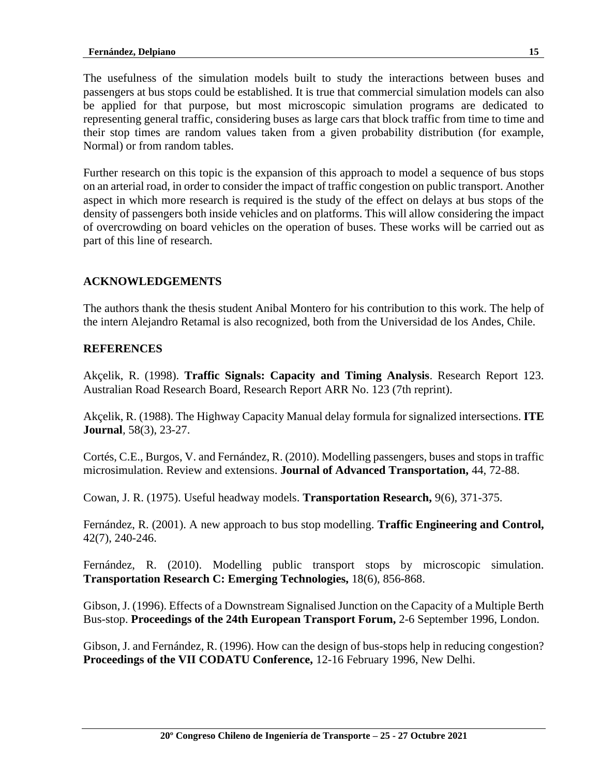The usefulness of the simulation models built to study the interactions between buses and passengers at bus stops could be established. It is true that commercial simulation models can also be applied for that purpose, but most microscopic simulation programs are dedicated to representing general traffic, considering buses as large cars that block traffic from time to time and their stop times are random values taken from a given probability distribution (for example, Normal) or from random tables.

Further research on this topic is the expansion of this approach to model a sequence of bus stops on an arterial road, in order to consider the impact of traffic congestion on public transport. Another aspect in which more research is required is the study of the effect on delays at bus stops of the density of passengers both inside vehicles and on platforms. This will allow considering the impact of overcrowding on board vehicles on the operation of buses. These works will be carried out as part of this line of research.

## **ACKNOWLEDGEMENTS**

The authors thank the thesis student Anibal Montero for his contribution to this work. The help of the intern Alejandro Retamal is also recognized, both from the Universidad de los Andes, Chile.

### **REFERENCES**

Akçelik, R. (1998). **Traffic Signals: Capacity and Timing Analysis**. Research Report 123. Australian Road Research Board, Research Report ARR No. 123 (7th reprint).

Akçelik, R. (1988). The Highway Capacity Manual delay formula for signalized intersections. **ITE Journal***,* 58(3), 23-27.

Cortés, C.E., Burgos, V. and Fernández, R. (2010). Modelling passengers, buses and stops in traffic microsimulation. Review and extensions. **Journal of Advanced Transportation,** 44, 72-88.

Cowan, J. R. (1975). Useful headway models. **Transportation Research,** 9(6), 371-375.

Fernández, R. (2001). A new approach to bus stop modelling. **Traffic Engineering and Control,** 42(7), 240-246.

Fernández, R. (2010). Modelling public transport stops by microscopic simulation. **Transportation Research C: Emerging Technologies,** 18(6), 856-868.

Gibson, J. (1996). Effects of a Downstream Signalised Junction on the Capacity of a Multiple Berth Bus-stop. **Proceedings of the 24th European Transport Forum,** 2-6 September 1996, London.

Gibson, J. and Fernández, R. (1996). How can the design of bus-stops help in reducing congestion? **Proceedings of the VII CODATU Conference,** 12-16 February 1996, New Delhi.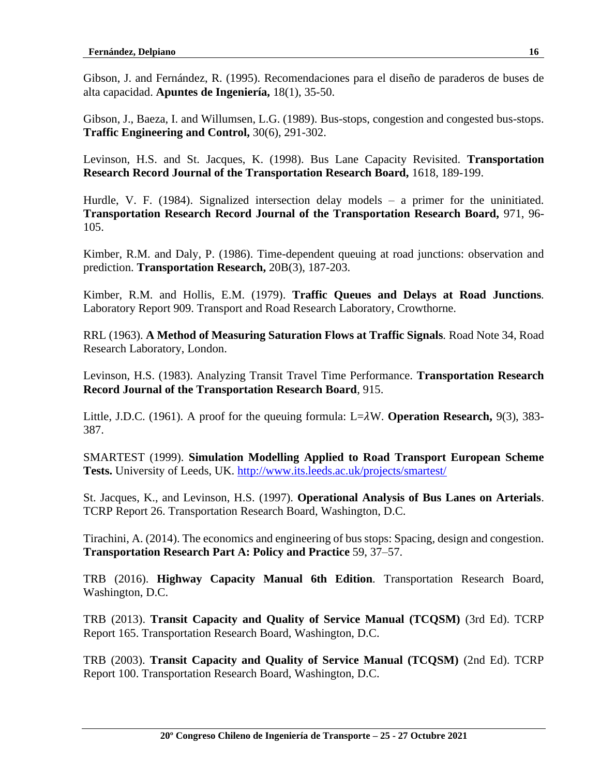Gibson, J. and Fernández, R. (1995). Recomendaciones para el diseño de paraderos de buses de alta capacidad. **Apuntes de Ingeniería,** 18(1), 35-50.

Gibson, J., Baeza, I. and Willumsen, L.G. (1989). Bus-stops, congestion and congested bus-stops. **Traffic Engineering and Control,** 30(6), 291-302.

Levinson, H.S. and St. Jacques, K. (1998). Bus Lane Capacity Revisited. **Transportation Research Record Journal of the Transportation Research Board,** 1618, 189-199.

Hurdle, V. F. (1984). Signalized intersection delay models – a primer for the uninitiated. **Transportation Research Record Journal of the Transportation Research Board,** 971, 96- 105.

Kimber, R.M. and Daly, P. (1986). Time-dependent queuing at road junctions: observation and prediction. **Transportation Research,** 20B(3), 187-203.

Kimber, R.M. and Hollis, E.M. (1979). **Traffic Queues and Delays at Road Junctions***.* Laboratory Report 909. Transport and Road Research Laboratory, Crowthorne.

RRL (1963). **A Method of Measuring Saturation Flows at Traffic Signals***.* Road Note 34, Road Research Laboratory, London.

Levinson, H.S. (1983). Analyzing Transit Travel Time Performance. **Transportation Research Record Journal of the Transportation Research Board**, 915.

Little, J.D.C. (1961). A proof for the queuing formula: L=W. **Operation Research,** 9(3), 383- 387.

SMARTEST (1999). **Simulation Modelling Applied to Road Transport European Scheme Tests.** University of Leeds, UK.<http://www.its.leeds.ac.uk/projects/smartest/>

St. Jacques, K., and Levinson, H.S. (1997). **Operational Analysis of Bus Lanes on Arterials**. TCRP Report 26. Transportation Research Board, Washington, D.C.

Tirachini, A. (2014). The economics and engineering of bus stops: Spacing, design and congestion. **Transportation Research Part A: Policy and Practice** 59, 37–57.

TRB (2016). **Highway Capacity Manual 6th Edition***.* Transportation Research Board, Washington, D.C.

TRB (2013). **Transit Capacity and Quality of Service Manual (TCQSM)** (3rd Ed). TCRP Report 165. Transportation Research Board, Washington, D.C.

TRB (2003). **Transit Capacity and Quality of Service Manual (TCQSM)** (2nd Ed). TCRP Report 100. Transportation Research Board, Washington, D.C.